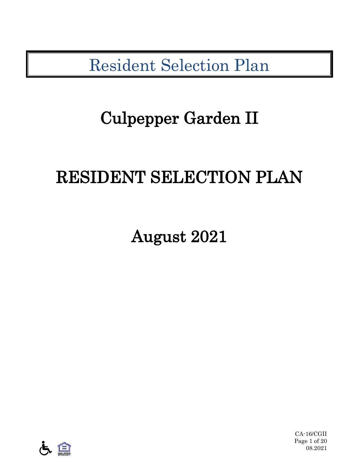Resident Selection Plan

# Culpepper Garden II

# RESIDENT SELECTION PLAN

August 2021



CA-16/CGII Page 1 of 20 08.2021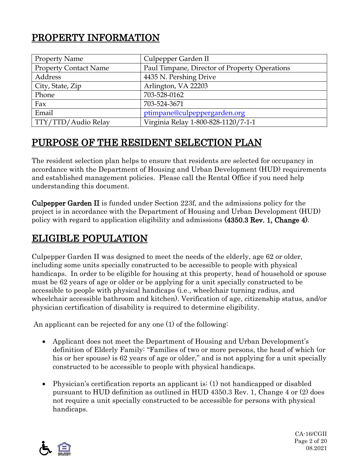# PROPERTY INFORMATION

| <b>Property Name</b>         | Culpepper Garden II                           |
|------------------------------|-----------------------------------------------|
| <b>Property Contact Name</b> | Paul Timpane, Director of Property Operations |
| Address                      | 4435 N. Pershing Drive                        |
| City, State, Zip             | Arlington, VA 22203                           |
| Phone                        | 703-528-0162                                  |
| Fax                          | 703-524-3671                                  |
| Email                        | ptimpane@culpeppergarden.org                  |
| TTY/TTD/Audio Relay          | Virginia Relay 1-800-828-1120/7-1-1           |

# PURPOSE OF THE RESIDENT SELECTION PLAN

The resident selection plan helps to ensure that residents are selected for occupancy in accordance with the Department of Housing and Urban Development (HUD) requirements and established management policies. Please call the Rental Office if you need help understanding this document.

Culpepper Garden II is funded under Section 223f, and the admissions policy for the project is in accordance with the Department of Housing and Urban Development (HUD) policy with regard to application eligibility and admissions (4350.3 Rev. 1, Change 4).

# ELIGIBLE POPULATION

Culpepper Garden II was designed to meet the needs of the elderly, age 62 or older, including some units specially constructed to be accessible to people with physical handicaps. In order to be eligible for housing at this property, head of household or spouse must be 62 years of age or older or be applying for a unit specially constructed to be accessible to people with physical handicaps (i.e., wheelchair turning radius, and wheelchair accessible bathroom and kitchen). Verification of age, citizenship status, and/or physician certification of disability is required to determine eligibility.

An applicant can be rejected for any one (1) of the following:

- Applicant does not meet the Department of Housing and Urban Development's definition of Elderly Family: "Families of two or more persons, the head of which (or his or her spouse) is 62 years of age or older," and is not applying for a unit specially constructed to be accessible to people with physical handicaps.
- Physician's certification reports an applicant is: (1) not handicapped or disabled pursuant to HUD definition as outlined in HUD 4350.3 Rev. 1, Change 4 or (2) does not require a unit specially constructed to be accessible for persons with physical handicaps.



CA-16/CGII Page 2 of 20 08.2021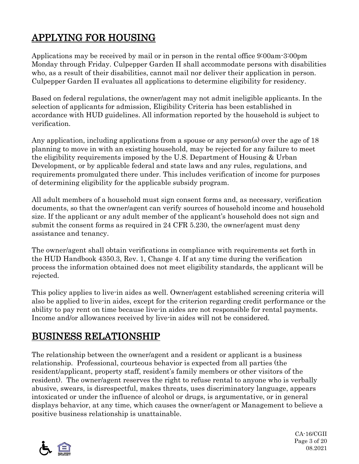# APPLYING FOR HOUSING

Applications may be received by mail or in person in the rental office 9:00am-3:00pm Monday through Friday. Culpepper Garden II shall accommodate persons with disabilities who, as a result of their disabilities, cannot mail nor deliver their application in person. Culpepper Garden II evaluates all applications to determine eligibility for residency.

Based on federal regulations, the owner/agent may not admit ineligible applicants. In the selection of applicants for admission, Eligibility Criteria has been established in accordance with HUD guidelines. All information reported by the household is subject to verification.

Any application, including applications from a spouse or any person(s) over the age of 18 planning to move in with an existing household, may be rejected for any failure to meet the eligibility requirements imposed by the U.S. Department of Housing & Urban Development, or by applicable federal and state laws and any rules, regulations, and requirements promulgated there under. This includes verification of income for purposes of determining eligibility for the applicable subsidy program.

All adult members of a household must sign consent forms and, as necessary, verification documents, so that the owner/agent can verify sources of household income and household size. If the applicant or any adult member of the applicant's household does not sign and submit the consent forms as required in 24 CFR 5.230, the owner/agent must deny assistance and tenancy.

The owner/agent shall obtain verifications in compliance with requirements set forth in the HUD Handbook 4350.3, Rev. 1, Change 4. If at any time during the verification process the information obtained does not meet eligibility standards, the applicant will be rejected.

This policy applies to live-in aides as well. Owner/agent established screening criteria will also be applied to live-in aides, except for the criterion regarding credit performance or the ability to pay rent on time because live-in aides are not responsible for rental payments. Income and/or allowances received by live-in aides will not be considered.

# BUSINESS RELATIONSHIP

The relationship between the owner/agent and a resident or applicant is a business relationship. Professional, courteous behavior is expected from all parties (the resident/applicant, property staff, resident's family members or other visitors of the resident). The owner/agent reserves the right to refuse rental to anyone who is verbally abusive, swears, is disrespectful, makes threats, uses discriminatory language, appears intoxicated or under the influence of alcohol or drugs, is argumentative, or in general displays behavior, at any time, which causes the owner/agent or Management to believe a positive business relationship is unattainable.



CA-16/CGII Page 3 of 20 08.2021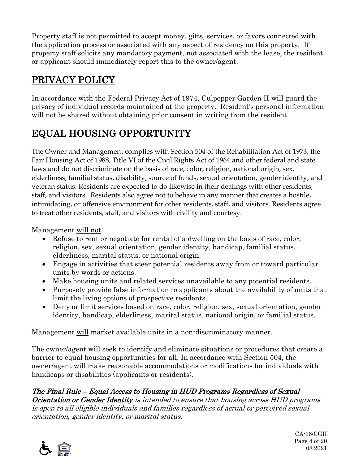Property staff is not permitted to accept money, gifts, services, or favors connected with the application process or associated with any aspect of residency on this property. If property staff solicits any mandatory payment, not associated with the lease, the resident or applicant should immediately report this to the owner/agent.

# PRIVACY POLICY

In accordance with the Federal Privacy Act of 1974, Culpepper Garden II will guard the privacy of individual records maintained at the property. Resident's personal information will not be shared without obtaining prior consent in writing from the resident.

# EQUAL HOUSING OPPORTUNITY

The Owner and Management complies with Section 504 of the Rehabilitation Act of 1973, the Fair Housing Act of 1988, Title VI of the Civil Rights Act of 1964 and other federal and state laws and do not discriminate on the basis of race, color, religion, national origin, sex, elderliness, familial status, disability, source of funds, sexual orientation, gender identity, and veteran status. Residents are expected to do likewise in their dealings with other residents, staff, and visitors. Residents also agree not to behave in any manner that creates a hostile, intimidating, or offensive environment for other residents, staff, and visitors. Residents agree to treat other residents, staff, and visitors with civility and courtesy.

Management will not:

- Refuse to rent or negotiate for rental of a dwelling on the basis of race, color, religion, sex, sexual orientation, gender identity, handicap, familial status, elderliness, marital status, or national origin.
- Engage in activities that steer potential residents away from or toward particular units by words or actions.
- Make housing units and related services unavailable to any potential residents.
- Purposely provide false information to applicants about the availability of units that limit the living options of prospective residents.
- Deny or limit services based on race, color, religion, sex, sexual orientation, gender identity, handicap, elderliness, marital status, national origin, or familial status.

Management will market available units in a non-discriminatory manner.

The owner/agent will seek to identify and eliminate situations or procedures that create a barrier to equal housing opportunities for all. In accordance with Section 504, the owner/agent will make reasonable accommodations or modifications for individuals with handicaps or disabilities (applicants or residents).

#### The Final Rule – Equal Access to Housing in HUD Programs Regardless of Sexual Orientation or Gender Identity is intended to ensure that housing across HUD programs is open to all eligible individuals and families regardless of actual or perceived sexual

orientation, gender identity, or marital status.

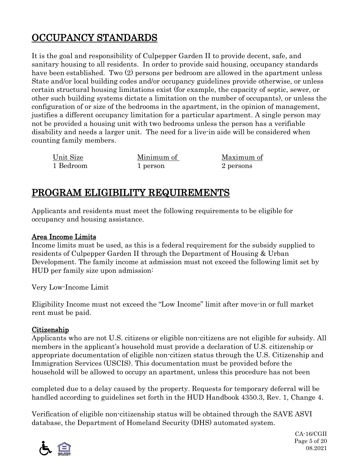# OCCUPANCY STANDARDS

It is the goal and responsibility of Culpepper Garden II to provide decent, safe, and sanitary housing to all residents. In order to provide said housing, occupancy standards have been established. Two (2) persons per bedroom are allowed in the apartment unless State and/or local building codes and/or occupancy guidelines provide otherwise, or unless certain structural housing limitations exist (for example, the capacity of septic, sewer, or other such building systems dictate a limitation on the number of occupants), or unless the configuration of or size of the bedrooms in the apartment, in the opinion of management, justifies a different occupancy limitation for a particular apartment. A single person may not be provided a housing unit with two bedrooms unless the person has a verifiable disability and needs a larger unit. The need for a live-in aide will be considered when counting family members.

1 Bedroom 1 person 2 persons

Unit Size Minimum of Maximum of

### PROGRAM ELIGIBILITY REQUIREMENTS

Applicants and residents must meet the following requirements to be eligible for occupancy and housing assistance.

#### Area Income Limits

Income limits must be used, as this is a federal requirement for the subsidy supplied to residents of Culpepper Garden II through the Department of Housing & Urban Development. The family income at admission must not exceed the following limit set by HUD per family size upon admission:

Very Low-Income Limit

Eligibility Income must not exceed the "Low Income" limit after move-in or full market rent must be paid.

#### Citizenship

Applicants who are not U.S. citizens or eligible non-citizens are not eligible for subsidy. All members in the applicant's household must provide a declaration of U.S. citizenship or appropriate documentation of eligible non-citizen status through the U.S. Citizenship and Immigration Services (USCIS). This documentation must be provided before the household will be allowed to occupy an apartment, unless this procedure has not been

completed due to a delay caused by the property. Requests for temporary deferral will be handled according to guidelines set forth in the HUD Handbook 4350.3, Rev. 1, Change 4.

Verification of eligible non-citizenship status will be obtained through the SAVE ASVI database, the Department of Homeland Security (DHS) automated system.

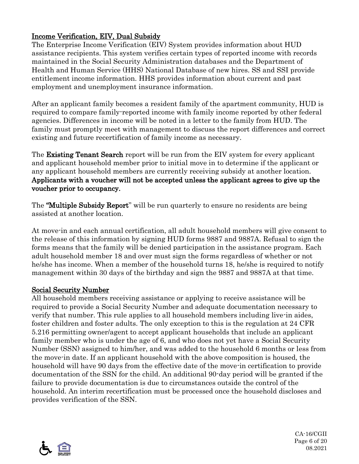#### Income Verification, EIV, Dual Subsidy

The Enterprise Income Verification (EIV) System provides information about HUD assistance recipients. This system verifies certain types of reported income with records maintained in the Social Security Administration databases and the Department of Health and Human Service (HHS) National Database of new hires. SS and SSI provide entitlement income information. HHS provides information about current and past employment and unemployment insurance information.

After an applicant family becomes a resident family of the apartment community, HUD is required to compare family-reported income with family income reported by other federal agencies. Differences in income will be noted in a letter to the family from HUD. The family must promptly meet with management to discuss the report differences and correct existing and future recertification of family income as necessary.

The **Existing Tenant Search** report will be run from the EIV system for every applicant and applicant household member prior to initial move in to determine if the applicant or any applicant household members are currently receiving subsidy at another location. Applicants with a voucher will not be accepted unless the applicant agrees to give up the voucher prior to occupancy.

The **"Multiple Subsidy Report**" will be run quarterly to ensure no residents are being assisted at another location.

At move-in and each annual certification, all adult household members will give consent to the release of this information by signing HUD forms 9887 and 9887A. Refusal to sign the forms means that the family will be denied participation in the assistance program. Each adult household member 18 and over must sign the forms regardless of whether or not he/she has income. When a member of the household turns 18, he/she is required to notify management within 30 days of the birthday and sign the 9887 and 9887A at that time.

#### Social Security Number

All household members receiving assistance or applying to receive assistance will be required to provide a Social Security Number and adequate documentation necessary to verify that number. This rule applies to all household members including live-in aides, foster children and foster adults. The only exception to this is the regulation at 24 CFR 5.216 permitting owner/agent to accept applicant households that include an applicant family member who is under the age of 6, and who does not yet have a Social Security Number (SSN) assigned to him/her, and was added to the household 6 months or less from the move-in date. If an applicant household with the above composition is housed, the household will have 90 days from the effective date of the move-in certification to provide documentation of the SSN for the child. An additional 90-day period will be granted if the failure to provide documentation is due to circumstances outside the control of the household. An interim recertification must be processed once the household discloses and provides verification of the SSN.



CA-16/CGII Page 6 of 20 08.2021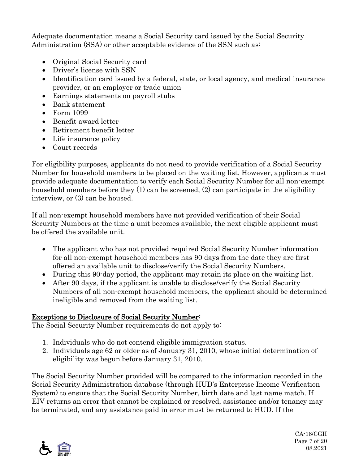Adequate documentation means a Social Security card issued by the Social Security Administration (SSA) or other acceptable evidence of the SSN such as:

- Original Social Security card
- Driver's license with SSN
- Identification card issued by a federal, state, or local agency, and medical insurance provider, or an employer or trade union
- Earnings statements on payroll stubs
- Bank statement
- Form 1099
- Benefit award letter
- Retirement benefit letter
- Life insurance policy
- Court records

For eligibility purposes, applicants do not need to provide verification of a Social Security Number for household members to be placed on the waiting list. However, applicants must provide adequate documentation to verify each Social Security Number for all non-exempt household members before they (1) can be screened, (2) can participate in the eligibility interview, or (3) can be housed.

If all non-exempt household members have not provided verification of their Social Security Numbers at the time a unit becomes available, the next eligible applicant must be offered the available unit.

- The applicant who has not provided required Social Security Number information for all non-exempt household members has 90 days from the date they are first offered an available unit to disclose/verify the Social Security Numbers.
- During this 90-day period, the applicant may retain its place on the waiting list.
- After 90 days, if the applicant is unable to disclose/verify the Social Security Numbers of all non-exempt household members, the applicant should be determined ineligible and removed from the waiting list.

#### Exceptions to Disclosure of Social Security Number:

The Social Security Number requirements do not apply to:

- 1. Individuals who do not contend eligible immigration status.
- 2. Individuals age 62 or older as of January 31, 2010, whose initial determination of eligibility was begun before January 31, 2010.

The Social Security Number provided will be compared to the information recorded in the Social Security Administration database (through HUD's Enterprise Income Verification System) to ensure that the Social Security Number, birth date and last name match. If EIV returns an error that cannot be explained or resolved, assistance and/or tenancy may be terminated, and any assistance paid in error must be returned to HUD. If the

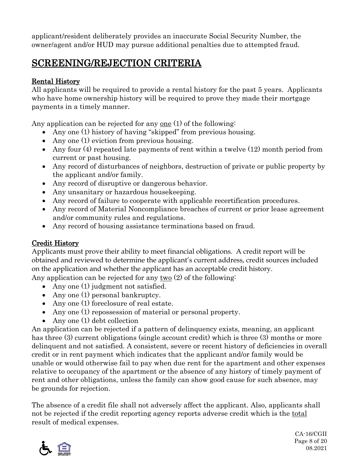applicant/resident deliberately provides an inaccurate Social Security Number, the owner/agent and/or HUD may pursue additional penalties due to attempted fraud.

### SCREENING/REJECTION CRITERIA

#### Rental History

All applicants will be required to provide a rental history for the past 5 years. Applicants who have home ownership history will be required to prove they made their mortgage payments in a timely manner.

Any application can be rejected for any one (1) of the following:

- Any one (1) history of having "skipped" from previous housing.
- Any one (1) eviction from previous housing.
- Any four  $(4)$  repeated late payments of rent within a twelve  $(12)$  month period from current or past housing.
- Any record of disturbances of neighbors, destruction of private or public property by the applicant and/or family.
- Any record of disruptive or dangerous behavior.
- Any unsanitary or hazardous housekeeping.
- Any record of failure to cooperate with applicable recertification procedures.
- Any record of Material Noncompliance breaches of current or prior lease agreement and/or community rules and regulations.
- Any record of housing assistance terminations based on fraud.

#### Credit History

Applicants must prove their ability to meet financial obligations. A credit report will be obtained and reviewed to determine the applicant's current address, credit sources included on the application and whether the applicant has an acceptable credit history. Any application can be rejected for any two (2) of the following:

- Any one (1) judgment not satisfied.
- Any one (1) personal bankruptcy.
- Any one (1) foreclosure of real estate.
- Any one (1) repossession of material or personal property.
- Any one (1) debt collection

An application can be rejected if a pattern of delinquency exists, meaning, an applicant has three (3) current obligations (single account credit) which is three (3) months or more delinquent and not satisfied. A consistent, severe or recent history of deficiencies in overall credit or in rent payment which indicates that the applicant and/or family would be unable or would otherwise fail to pay when due rent for the apartment and other expenses relative to occupancy of the apartment or the absence of any history of timely payment of rent and other obligations, unless the family can show good cause for such absence, may be grounds for rejection.

The absence of a credit file shall not adversely affect the applicant. Also, applicants shall not be rejected if the credit reporting agency reports adverse credit which is the total result of medical expenses.



CA-16/CGII Page 8 of 20 08.2021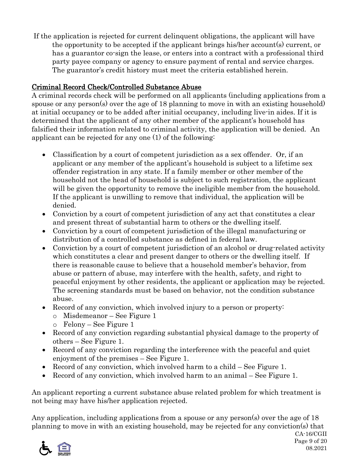If the application is rejected for current delinquent obligations, the applicant will have the opportunity to be accepted if the applicant brings his/her account(s) current, or has a guarantor co-sign the lease, or enters into a contract with a professional third party payee company or agency to ensure payment of rental and service charges. The guarantor's credit history must meet the criteria established herein.

#### Criminal Record Check/Controlled Substance Abuse

A criminal records check will be performed on all applicants (including applications from a spouse or any person(s) over the age of 18 planning to move in with an existing household) at initial occupancy or to be added after initial occupancy, including live-in aides. If it is determined that the applicant of any other member of the applicant's household has falsified their information related to criminal activity, the application will be denied. An applicant can be rejected for any one (1) of the following:

- Classification by a court of competent jurisdiction as a sex offender. Or, if an applicant or any member of the applicant's household is subject to a lifetime sex offender registration in any state. If a family member or other member of the household not the head of household is subject to such registration, the applicant will be given the opportunity to remove the ineligible member from the household. If the applicant is unwilling to remove that individual, the application will be denied.
- Conviction by a court of competent jurisdiction of any act that constitutes a clear and present threat of substantial harm to others or the dwelling itself.
- Conviction by a court of competent jurisdiction of the illegal manufacturing or distribution of a controlled substance as defined in federal law.
- Conviction by a court of competent jurisdiction of an alcohol or drug-related activity which constitutes a clear and present danger to others or the dwelling itself. If there is reasonable cause to believe that a household member's behavior, from abuse or pattern of abuse, may interfere with the health, safety, and right to peaceful enjoyment by other residents, the applicant or application may be rejected. The screening standards must be based on behavior, not the condition substance abuse.
- Record of any conviction, which involved injury to a person or property:
	- o Misdemeanor See Figure 1
	- o Felony See Figure 1
- Record of any conviction regarding substantial physical damage to the property of others – See Figure 1.
- Record of any conviction regarding the interference with the peaceful and quiet enjoyment of the premises – See Figure 1.
- Record of any conviction, which involved harm to a child See Figure 1.
- Record of any conviction, which involved harm to an animal See Figure 1.

An applicant reporting a current substance abuse related problem for which treatment is not being may have his/her application rejected.

Any application, including applications from a spouse or any person(s) over the age of 18 planning to move in with an existing household, may be rejected for any conviction(s) that

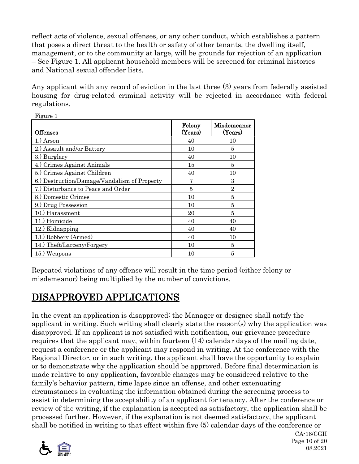reflect acts of violence, sexual offenses, or any other conduct, which establishes a pattern that poses a direct threat to the health or safety of other tenants, the dwelling itself, management, or to the community at large, will be grounds for rejection of an application – See Figure 1. All applicant household members will be screened for criminal histories and National sexual offender lists.

Any applicant with any record of eviction in the last three (3) years from federally assisted housing for drug-related criminal activity will be rejected in accordance with federal regulations.

| Figure 1                                     |                   |                        |
|----------------------------------------------|-------------------|------------------------|
| <b>Offenses</b>                              | Felony<br>(Years) | Misdemeanor<br>(Years) |
| 1.) Arson                                    | 40                | 10                     |
| 2.) Assault and/or Battery                   | 10                | 5                      |
| 3.) Burglary                                 | 40                | 10                     |
| 4.) Crimes Against Animals                   | 15                | 5                      |
| 5.) Crimes Against Children                  | 40                | 10                     |
| 6.) Destruction/Damage/Vandalism of Property |                   | 3                      |
| 7.) Disturbance to Peace and Order           | 5                 | $\overline{2}$         |
| 8.) Domestic Crimes                          | 10                | 5                      |
| 9.) Drug Possession                          | 10                | 5                      |
| 10.) Harassment                              | 20                | 5                      |
| 11.) Homicide                                | 40                | 40                     |
| 12.) Kidnapping                              | 40                | 40                     |
| 13.) Robbery (Armed)                         | 40                | 10                     |
| 14.) Theft/Larceny/Forgery                   | 10                | 5                      |
| 15.) Weapons                                 | 10                | 5                      |

Repeated violations of any offense will result in the time period (either felony or misdemeanor) being multiplied by the number of convictions.

# DISAPPROVED APPLICATIONS

In the event an application is disapproved; the Manager or designee shall notify the applicant in writing. Such writing shall clearly state the reason(s) why the application was disapproved. If an applicant is not satisfied with notification, our grievance procedure requires that the applicant may, within fourteen (14) calendar days of the mailing date, request a conference or the applicant may respond in writing. At the conference with the Regional Director, or in such writing, the applicant shall have the opportunity to explain or to demonstrate why the application should be approved. Before final determination is made relative to any application, favorable changes may be considered relative to the family's behavior pattern, time lapse since an offense, and other extenuating circumstances in evaluating the information obtained during the screening process to assist in determining the acceptability of an applicant for tenancy. After the conference or review of the writing, if the explanation is accepted as satisfactory, the application shall be processed further. However, if the explanation is not deemed satisfactory, the applicant shall be notified in writing to that effect within five (5) calendar days of the conference or

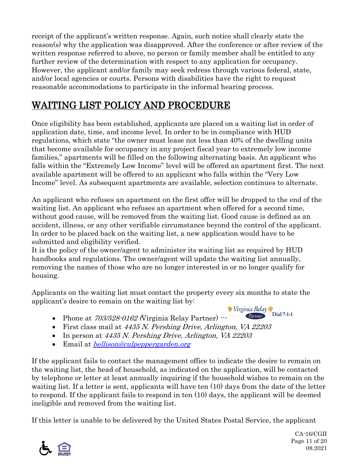receipt of the applicant's written response. Again, such notice shall clearly state the reason(s) why the application was disapproved. After the conference or after review of the written response referred to above, no person or family member shall be entitled to any further review of the determination with respect to any application for occupancy. However, the applicant and/or family may seek redress through various federal, state, and/or local agencies or courts. Persons with disabilities have the right to request reasonable accommodations to participate in the informal hearing process.

# WAITING LIST POLICY AND PROCEDURE

Once eligibility has been established, applicants are placed on a waiting list in order of application date, time, and income level. In order to be in compliance with HUD regulations, which state "the owner must lease not less than 40% of the dwelling units that become available for occupancy in any project fiscal year to extremely low income families," apartments will be filled on the following alternating basis. An applicant who falls within the "Extremely Low Income" level will be offered an apartment first. The next available apartment will be offered to an applicant who falls within the "Very Low Income" level. As subsequent apartments are available, selection continues to alternate.

An applicant who refuses an apartment on the first offer will be dropped to the end of the waiting list. An applicant who refuses an apartment when offered for a second time, without good cause, will be removed from the waiting list. Good cause is defined as an accident, illness, or any other verifiable circumstance beyond the control of the applicant. In order to be placed back on the waiting list, a new application would have to be submitted and eligibility verified.

It is the policy of the owner/agent to administer its waiting list as required by HUD handbooks and regulations. The owner/agent will update the waiting list annually, removing the names of those who are no longer interested in or no longer qualify for housing.

Applicants on the waiting list must contact the property every six months to state the applicant's desire to remain on the waiting list by:



- Phone at  $703/528 \cdot 0162$  (Virginia Relay Partner)  $\cdots$  Partner) Dial 7-1-1
- First class mail at 4435 N. Pershing Drive, Arlington, VA 22203
- In person at 4435 N. Pershing Drive, Arlington, VA 22203
- Email at *[bellison@culpeppergarden.org](mailto:bellison@culpeppergarden.org)*

If the applicant fails to contact the management office to indicate the desire to remain on the waiting list, the head of household, as indicated on the application, will be contacted by telephone or letter at least annually inquiring if the household wishes to remain on the waiting list. If a letter is sent, applicants will have ten (10) days from the date of the letter to respond. If the applicant fails to respond in ten (10) days, the applicant will be deemed ineligible and removed from the waiting list.

If this letter is unable to be delivered by the United States Postal Service, the applicant

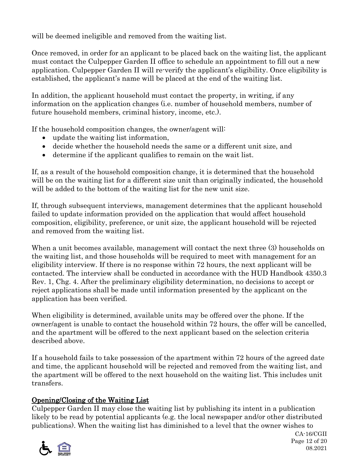will be deemed ineligible and removed from the waiting list.

Once removed, in order for an applicant to be placed back on the waiting list, the applicant must contact the Culpepper Garden II office to schedule an appointment to fill out a new application. Culpepper Garden II will re-verify the applicant's eligibility. Once eligibility is established, the applicant's name will be placed at the end of the waiting list.

In addition, the applicant household must contact the property, in writing, if any information on the application changes (i.e. number of household members, number of future household members, criminal history, income, etc.).

If the household composition changes, the owner/agent will:

- update the waiting list information,
- decide whether the household needs the same or a different unit size, and
- determine if the applicant qualifies to remain on the wait list.

If, as a result of the household composition change, it is determined that the household will be on the waiting list for a different size unit than originally indicated, the household will be added to the bottom of the waiting list for the new unit size.

If, through subsequent interviews, management determines that the applicant household failed to update information provided on the application that would affect household composition, eligibility, preference, or unit size, the applicant household will be rejected and removed from the waiting list.

When a unit becomes available, management will contact the next three (3) households on the waiting list, and those households will be required to meet with management for an eligibility interview. If there is no response within 72 hours, the next applicant will be contacted. The interview shall be conducted in accordance with the HUD Handbook 4350.3 Rev. 1, Chg. 4. After the preliminary eligibility determination, no decisions to accept or reject applications shall be made until information presented by the applicant on the application has been verified.

When eligibility is determined, available units may be offered over the phone. If the owner/agent is unable to contact the household within 72 hours, the offer will be cancelled, and the apartment will be offered to the next applicant based on the selection criteria described above.

If a household fails to take possession of the apartment within 72 hours of the agreed date and time, the applicant household will be rejected and removed from the waiting list, and the apartment will be offered to the next household on the waiting list. This includes unit transfers.

#### Opening/Closing of the Waiting List

Culpepper Garden II may close the waiting list by publishing its intent in a publication likely to be read by potential applicants (e.g. the local newspaper and/or other distributed publications). When the waiting list has diminished to a level that the owner wishes to



CA-16/CGII Page 12 of 20 08.2021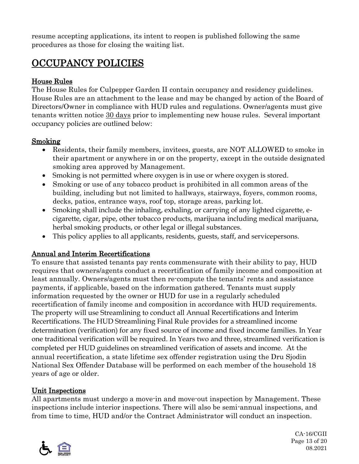resume accepting applications, its intent to reopen is published following the same procedures as those for closing the waiting list.

# OCCUPANCY POLICIES

#### House Rules

The House Rules for Culpepper Garden II contain occupancy and residency guidelines. House Rules are an attachment to the lease and may be changed by action of the Board of Directors/Owner in compliance with HUD rules and regulations. Owner/agents must give tenants written notice 30 days prior to implementing new house rules. Several important occupancy policies are outlined below:

#### **Smoking**

- Residents, their family members, invitees, guests, are NOT ALLOWED to smoke in their apartment or anywhere in or on the property, except in the outside designated smoking area approved by Management.
- Smoking is not permitted where oxygen is in use or where oxygen is stored.
- Smoking or use of any tobacco product is prohibited in all common areas of the building, including but not limited to hallways, stairways, foyers, common rooms, decks, patios, entrance ways, roof top, storage areas, parking lot.
- Smoking shall include the inhaling, exhaling, or carrying of any lighted cigarette, ecigarette, cigar, pipe, other tobacco products, marijuana including medical marijuana, herbal smoking products, or other legal or illegal substances.
- This policy applies to all applicants, residents, guests, staff, and servicepersons.

#### Annual and Interim Recertifications

To ensure that assisted tenants pay rents commensurate with their ability to pay, HUD requires that owners/agents conduct a recertification of family income and composition at least annually. Owners/agents must then re-compute the tenants' rents and assistance payments, if applicable, based on the information gathered. Tenants must supply information requested by the owner or HUD for use in a regularly scheduled recertification of family income and composition in accordance with HUD requirements. The property will use Streamlining to conduct all Annual Recertifications and Interim Recertifications. The HUD Streamlining Final Rule provides for a streamlined income determination (verification) for any fixed source of income and fixed income families. In Year one traditional verification will be required. In Years two and three, streamlined verification is completed per HUD guidelines on streamlined verification of assets and income. At the annual recertification, a state lifetime sex offender registration using the Dru Sjodin National Sex Offender Database will be performed on each member of the household 18 years of age or older.

#### Unit Inspections

All apartments must undergo a move-in and move-out inspection by Management. These inspections include interior inspections. There will also be semi-annual inspections, and from time to time, HUD and/or the Contract Administrator will conduct an inspection.



CA-16/CGII Page 13 of 20 08.2021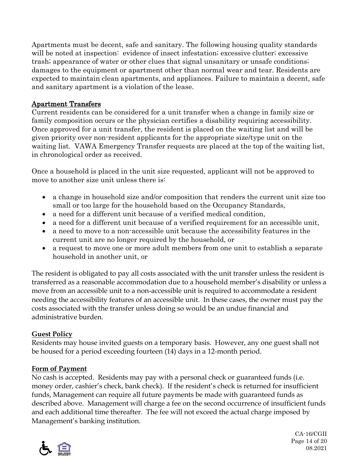Apartments must be decent, safe and sanitary. The following housing quality standards will be noted at inspection: evidence of insect infestation; excessive clutter; excessive trash; appearance of water or other clues that signal unsanitary or unsafe conditions; damages to the equipment or apartment other than normal wear and tear. Residents are expected to maintain clean apartments, and appliances. Failure to maintain a decent, safe and sanitary apartment is a violation of the lease.

#### Apartment Transfers

Current residents can be considered for a unit transfer when a change in family size or family composition occurs or the physician certifies a disability requiring accessibility. Once approved for a unit transfer, the resident is placed on the waiting list and will be given priority over non-resident applicants for the appropriate size/type unit on the waiting list. VAWA Emergency Transfer requests are placed at the top of the waiting list, in chronological order as received.

Once a household is placed in the unit size requested, applicant will not be approved to move to another size unit unless there is:

- a change in household size and/or composition that renders the current unit size too small or too large for the household based on the Occupancy Standards,
- a need for a different unit because of a verified medical condition,
- a need for a different unit because of a verified requirement for an accessible unit,
- a need to move to a non-accessible unit because the accessibility features in the current unit are no longer required by the household, or
- a request to move one or more adult members from one unit to establish a separate household in another unit, or

The resident is obligated to pay all costs associated with the unit transfer unless the resident is transferred as a reasonable accommodation due to a household member's disability or unless a move from an accessible unit to a non-accessible unit is required to accommodate a resident needing the accessibility features of an accessible unit. In these cases, the owner must pay the costs associated with the transfer unless doing so would be an undue financial and administrative burden.

#### **Guest Policy**

Residents may house invited guests on a temporary basis. However, any one guest shall not be housed for a period exceeding fourteen (14) days in a 12-month period.

#### **Form of Payment**

No cash is accepted. Residents may pay with a personal check or guaranteed funds (i.e. money order, cashier's check, bank check). If the resident's check is returned for insufficient funds, Management can require all future payments be made with guaranteed funds as described above. Management will charge a fee on the second occurrence of insufficient funds and each additional time thereafter. The fee will not exceed the actual charge imposed by Management's banking institution.

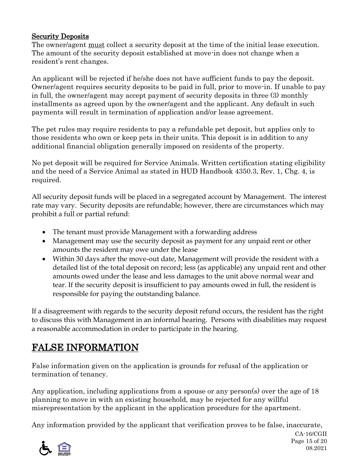#### Security Deposits

The owner/agent must collect a security deposit at the time of the initial lease execution. The amount of the security deposit established at move-in does not change when a resident's rent changes.

An applicant will be rejected if he/she does not have sufficient funds to pay the deposit. Owner/agent requires security deposits to be paid in full, prior to move-in. If unable to pay in full, the owner/agent may accept payment of security deposits in three (3) monthly installments as agreed upon by the owner/agent and the applicant. Any default in such payments will result in termination of application and/or lease agreement.

The pet rules may require residents to pay a refundable pet deposit, but applies only to those residents who own or keep pets in their units. This deposit is in addition to any additional financial obligation generally imposed on residents of the property.

No pet deposit will be required for Service Animals. Written certification stating eligibility and the need of a Service Animal as stated in HUD Handbook 4350.3, Rev. 1, Chg. 4, is required.

All security deposit funds will be placed in a segregated account by Management. The interest rate may vary. Security deposits are refundable; however, there are circumstances which may prohibit a full or partial refund:

- The tenant must provide Management with a forwarding address
- Management may use the security deposit as payment for any unpaid rent or other amounts the resident may owe under the lease
- Within 30 days after the move-out date, Management will provide the resident with a detailed list of the total deposit on record; less (as applicable) any unpaid rent and other amounts owed under the lease and less damages to the unit above normal wear and tear. If the security deposit is insufficient to pay amounts owed in full, the resident is responsible for paying the outstanding balance.

If a disagreement with regards to the security deposit refund occurs, the resident has the right to discuss this with Management in an informal hearing. Persons with disabilities may request a reasonable accommodation in order to participate in the hearing.

# FALSE INFORMATION

False information given on the application is grounds for refusal of the application or termination of tenancy.

Any application, including applications from a spouse or any person(s) over the age of 18 planning to move in with an existing household, may be rejected for any willful misrepresentation by the applicant in the application procedure for the apartment.

Any information provided by the applicant that verification proves to be false, inaccurate,

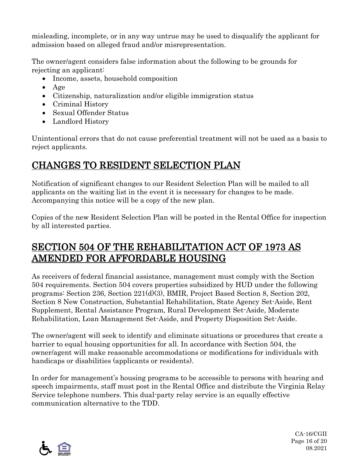misleading, incomplete, or in any way untrue may be used to disqualify the applicant for admission based on alleged fraud and/or misrepresentation.

The owner/agent considers false information about the following to be grounds for rejecting an applicant:

- Income, assets, household composition
- Age
- Citizenship, naturalization and/or eligible immigration status
- Criminal History
- Sexual Offender Status
- Landlord History

Unintentional errors that do not cause preferential treatment will not be used as a basis to reject applicants.

### CHANGES TO RESIDENT SELECTION PLAN

Notification of significant changes to our Resident Selection Plan will be mailed to all applicants on the waiting list in the event it is necessary for changes to be made. Accompanying this notice will be a copy of the new plan.

Copies of the new Resident Selection Plan will be posted in the Rental Office for inspection by all interested parties.

### SECTION 504 OF THE REHABILITATION ACT OF 1973 AS AMENDED FOR AFFORDABLE HOUSING

As receivers of federal financial assistance, management must comply with the Section 504 requirements. Section 504 covers properties subsidized by HUD under the following programs: Section 236, Section 221(d)(3), BMIR, Project Based Section 8, Section 202, Section 8 New Construction, Substantial Rehabilitation, State Agency Set-Aside, Rent Supplement, Rental Assistance Program, Rural Development Set-Aside, Moderate Rehabilitation, Loan Management Set-Aside, and Property Disposition Set-Aside.

The owner/agent will seek to identify and eliminate situations or procedures that create a barrier to equal housing opportunities for all. In accordance with Section 504, the owner/agent will make reasonable accommodations or modifications for individuals with handicaps or disabilities (applicants or residents).

In order for management's housing programs to be accessible to persons with hearing and speech impairments, staff must post in the Rental Office and distribute the Virginia Relay Service telephone numbers. This dual-party relay service is an equally effective communication alternative to the TDD.



CA-16/CGII Page 16 of 20 08.2021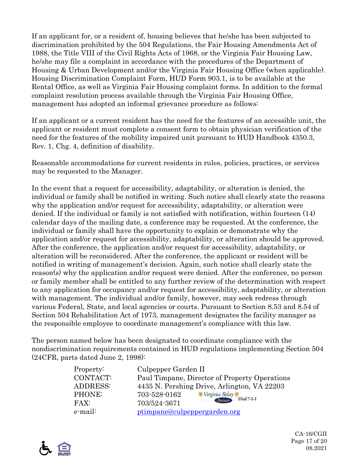If an applicant for, or a resident of, housing believes that he/she has been subjected to discrimination prohibited by the 504 Regulations, the Fair Housing Amendments Act of 1988, the Title VIII of the Civil Rights Acts of 1968, or the Virginia Fair Housing Law, he/she may file a complaint in accordance with the procedures of the Department of Housing & Urban Development and/or the Virginia Fair Housing Office (when applicable). Housing Discrimination Complaint Form, HUD Form 903.1, is to be available at the Rental Office, as well as Virginia Fair Housing complaint forms. In addition to the formal complaint resolution process available through the Virginia Fair Housing Office, management has adopted an informal grievance procedure as follows:

If an applicant or a current resident has the need for the features of an accessible unit, the applicant or resident must complete a consent form to obtain physician verification of the need for the features of the mobility impaired unit pursuant to HUD Handbook 4350.3, Rev. 1, Chg. 4, definition of disability.

Reasonable accommodations for current residents in rules, policies, practices, or services may be requested to the Manager.

In the event that a request for accessibility, adaptability, or alteration is denied, the individual or family shall be notified in writing. Such notice shall clearly state the reasons why the application and/or request for accessibility, adaptability, or alteration were denied. If the individual or family is not satisfied with notification, within fourteen (14) calendar days of the mailing date, a conference may be requested. At the conference, the individual or family shall have the opportunity to explain or demonstrate why the application and/or request for accessibility, adaptability, or alteration should be approved. After the conference, the application and/or request for accessibility, adaptability, or alteration will be reconsidered. After the conference, the applicant or resident will be notified in writing of management's decision. Again, such notice shall clearly state the reason(s) why the application and/or request were denied. After the conference, no person or family member shall be entitled to any further review of the determination with respect to any application for occupancy and/or request for accessibility, adaptability, or alteration with management. The individual and/or family, however, may seek redress through various Federal, State, and local agencies or courts. Pursuant to Section 8.53 and 8.54 of Section 504 Rehabilitation Act of 1973, management designates the facility manager as the responsible employee to coordinate management's compliance with this law.

The person named below has been designated to coordinate compliance with the nondiscrimination requirements contained in HUD regulations implementing Section 504 (24CFR, parts dated June 2, 1998):

| Property:       | Culpepper Garden II                           |
|-----------------|-----------------------------------------------|
| CONTACT:        | Paul Timpane, Director of Property Operations |
| <b>ADDRESS:</b> | 4435 N. Pershing Drive, Arlington, VA 22203   |
| PHONE:          | Virginia Relay<br>703-528-0162                |
| <b>FAX:</b>     | 703/524-3671                                  |
| e-mail:         | ptimpane@culpeppergarden.org                  |



CA-16/CGII Page 17 of 20 08.2021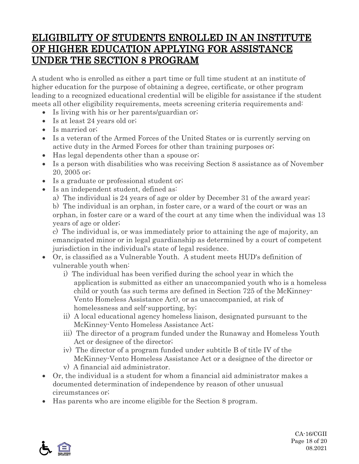# ELIGIBILITY OF STUDENTS ENROLLED IN AN INSTITUTE OF HIGHER EDUCATION APPLYING FOR ASSISTANCE UNDER THE SECTION 8 PROGRAM

A student who is enrolled as either a part time or full time student at an institute of higher education for the purpose of obtaining a degree, certificate, or other program leading to a recognized educational credential will be eligible for assistance if the student meets all other eligibility requirements, meets screening criteria requirements and:

- Is living with his or her parents/guardian or.
- Is at least 24 years old or;
- Is married or:
- Is a veteran of the Armed Forces of the United States or is currently serving on active duty in the Armed Forces for other than training purposes or;
- Has legal dependents other than a spouse or.
- Is a person with disabilities who was receiving Section 8 assistance as of November 20, 2005 or;
- Is a graduate or professional student or.
- Is an independent student, defined as:
	- a) The individual is 24 years of age or older by December 31 of the award year;

b) The individual is an orphan, in foster care, or a ward of the court or was an orphan, in foster care or a ward of the court at any time when the individual was 13 years of age or older;

c) The individual is, or was immediately prior to attaining the age of majority, an emancipated minor or in legal guardianship as determined by a court of competent jurisdiction in the individual's state of legal residence.

- Or, is classified as a Vulnerable Youth. A student meets HUD's definition of vulnerable youth when:
	- i) The individual has been verified during the school year in which the application is submitted as either an unaccompanied youth who is a homeless child or youth (as such terms are defined in Section 725 of the McKinney-Vento Homeless Assistance Act), or as unaccompanied, at risk of homelessness and self-supporting, by;
	- ii) A local educational agency homeless liaison, designated pursuant to the McKinney-Vento Homeless Assistance Act;
	- iii) The director of a program funded under the Runaway and Homeless Youth Act or designee of the director;
	- iv) The director of a program funded under subtitle B of title IV of the McKinney-Vento Homeless Assistance Act or a designee of the director or
	- v) A financial aid administrator.
- Or, the individual is a student for whom a financial aid administrator makes a documented determination of independence by reason of other unusual circumstances or;
- Has parents who are income eligible for the Section 8 program.

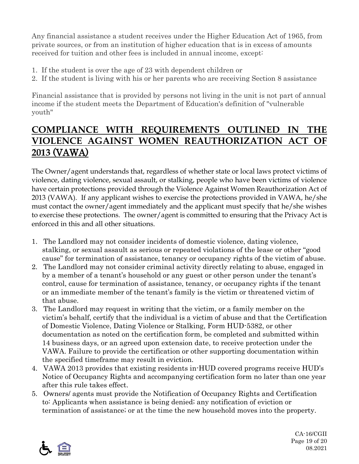Any financial assistance a student receives under the Higher Education Act of 1965, from private sources, or from an institution of higher education that is in excess of amounts received for tuition and other fees is included in annual income, except:

- 1. If the student is over the age of 23 with dependent children or
- 2. If the student is living with his or her parents who are receiving Section 8 assistance

Financial assistance that is provided by persons not living in the unit is not part of annual income if the student meets the Department of Education's definition of "vulnerable youth"

### **COMPLIANCE WITH REQUIREMENTS OUTLINED IN THE VIOLENCE AGAINST WOMEN REAUTHORIZATION ACT OF 2013** (VAWA)

The Owner/agent understands that, regardless of whether state or local laws protect victims of violence, dating violence, sexual assault, or stalking, people who have been victims of violence have certain protections provided through the Violence Against Women Reauthorization Act of 2013 (VAWA). If any applicant wishes to exercise the protections provided in VAWA, he/she must contact the owner/agent immediately and the applicant must specify that he/she wishes to exercise these protections. The owner/agent is committed to ensuring that the Privacy Act is enforced in this and all other situations.

- 1. The Landlord may not consider incidents of domestic violence, dating violence, stalking, or sexual assault as serious or repeated violations of the lease or other "good cause" for termination of assistance, tenancy or occupancy rights of the victim of abuse.
- 2. The Landlord may not consider criminal activity directly relating to abuse, engaged in by a member of a tenant's household or any guest or other person under the tenant's control, cause for termination of assistance, tenancy, or occupancy rights if the tenant or an immediate member of the tenant's family is the victim or threatened victim of that abuse.
- 3. The Landlord may request in writing that the victim, or a family member on the victim's behalf, certify that the individual is a victim of abuse and that the Certification of Domestic Violence, Dating Violence or Stalking, Form HUD-5382, or other documentation as noted on the certification form, be completed and submitted within 14 business days, or an agreed upon extension date, to receive protection under the VAWA. Failure to provide the certification or other supporting documentation within the specified timeframe may result in eviction.
- 4. VAWA 2013 provides that existing residents in-HUD covered programs receive HUD's Notice of Occupancy Rights and accompanying certification form no later than one year after this rule takes effect.
- 5. Owners/ agents must provide the Notification of Occupancy Rights and Certification to: Applicants when assistance is being denied; any notification of eviction or termination of assistance; or at the time the new household moves into the property.